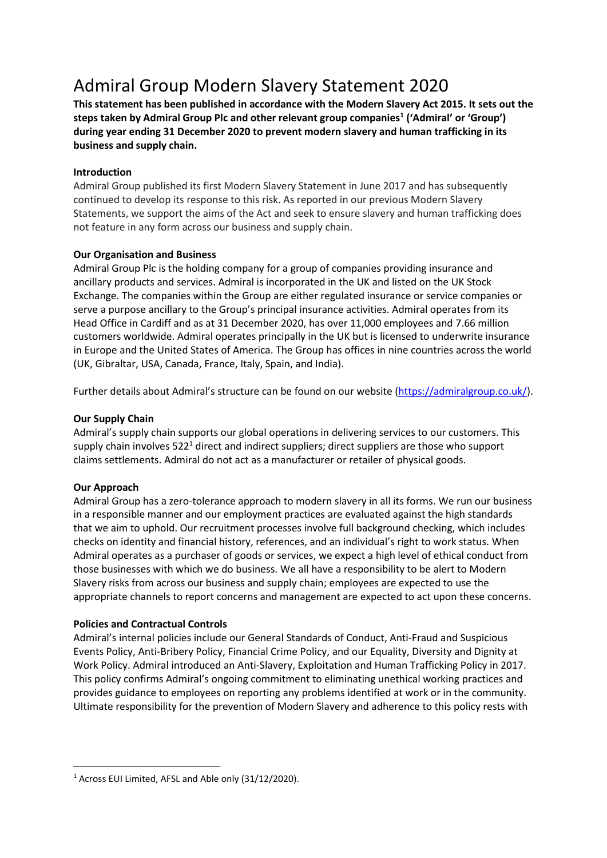# Admiral Group Modern Slavery Statement 2020

**This statement has been published in accordance with the Modern Slavery Act 2015. It sets out the steps taken by Admiral Group Plc and other relevant group companies<sup>1</sup> ('Admiral' or 'Group') during year ending 31 December 2020 to prevent modern slavery and human trafficking in its business and supply chain.**

## **Introduction**

Admiral Group published its first Modern Slavery Statement in June 2017 and has subsequently continued to develop its response to this risk. As reported in our previous Modern Slavery Statements, we support the aims of the Act and seek to ensure slavery and human trafficking does not feature in any form across our business and supply chain.

## **Our Organisation and Business**

Admiral Group Plc is the holding company for a group of companies providing insurance and ancillary products and services. Admiral is incorporated in the UK and listed on the UK Stock Exchange. The companies within the Group are either regulated insurance or service companies or serve a purpose ancillary to the Group's principal insurance activities. Admiral operates from its Head Office in Cardiff and as at 31 December 2020, has over 11,000 employees and 7.66 million customers worldwide. Admiral operates principally in the UK but is licensed to underwrite insurance in Europe and the United States of America. The Group has offices in nine countries across the world (UK, Gibraltar, USA, Canada, France, Italy, Spain, and India).

Further details about Admiral's structure can be found on our website ([https://admiralgroup.co.uk/\)](https://admiralgroup.co.uk/).

## **Our Supply Chain**

Admiral's supply chain supports our global operations in delivering services to our customers. This supply chain involves  $522<sup>1</sup>$  direct and indirect suppliers; direct suppliers are those who support claims settlements. Admiral do not act as a manufacturer or retailer of physical goods.

### **Our Approach**

Admiral Group has a zero-tolerance approach to modern slavery in all its forms. We run our business in a responsible manner and our employment practices are evaluated against the high standards that we aim to uphold. Our recruitment processes involve full background checking, which includes checks on identity and financial history, references, and an individual's right to work status. When Admiral operates as a purchaser of goods or services, we expect a high level of ethical conduct from those businesses with which we do business. We all have a responsibility to be alert to Modern Slavery risks from across our business and supply chain; employees are expected to use the appropriate channels to report concerns and management are expected to act upon these concerns.

### **Policies and Contractual Controls**

Admiral's internal policies include our General Standards of Conduct, Anti-Fraud and Suspicious Events Policy, Anti-Bribery Policy, Financial Crime Policy, and our Equality, Diversity and Dignity at Work Policy. Admiral introduced an Anti-Slavery, Exploitation and Human Trafficking Policy in 2017. This policy confirms Admiral's ongoing commitment to eliminating unethical working practices and provides guidance to employees on reporting any problems identified at work or in the community. Ultimate responsibility for the prevention of Modern Slavery and adherence to this policy rests with

<sup>1</sup> Across EUI Limited, AFSL and Able only (31/12/2020).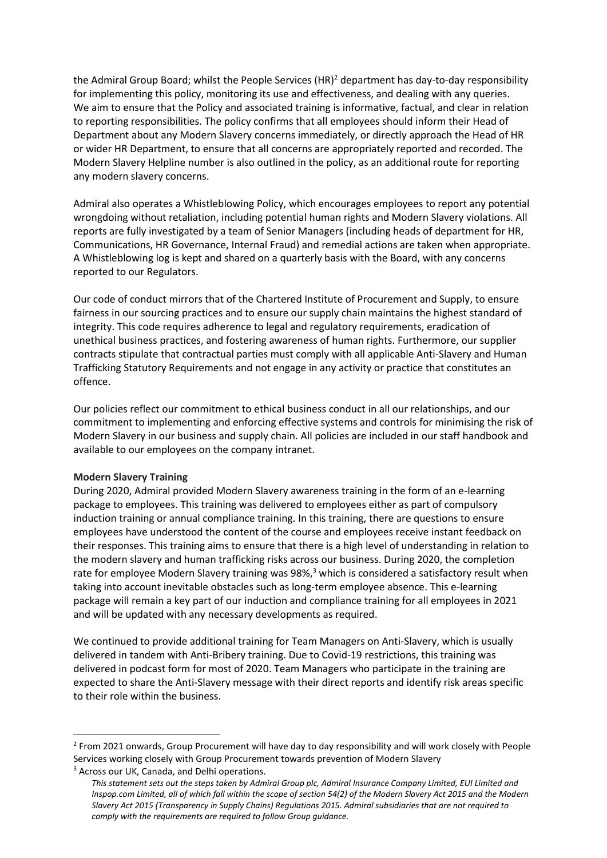the Admiral Group Board; whilst the People Services  $(HR)^2$  department has day-to-day responsibility for implementing this policy, monitoring its use and effectiveness, and dealing with any queries. We aim to ensure that the Policy and associated training is informative, factual, and clear in relation to reporting responsibilities. The policy confirms that all employees should inform their Head of Department about any Modern Slavery concerns immediately, or directly approach the Head of HR or wider HR Department, to ensure that all concerns are appropriately reported and recorded. The Modern Slavery Helpline number is also outlined in the policy, as an additional route for reporting any modern slavery concerns.

Admiral also operates a Whistleblowing Policy, which encourages employees to report any potential wrongdoing without retaliation, including potential human rights and Modern Slavery violations. All reports are fully investigated by a team of Senior Managers (including heads of department for HR, Communications, HR Governance, Internal Fraud) and remedial actions are taken when appropriate. A Whistleblowing log is kept and shared on a quarterly basis with the Board, with any concerns reported to our Regulators.

Our code of conduct mirrors that of the Chartered Institute of Procurement and Supply, to ensure fairness in our sourcing practices and to ensure our supply chain maintains the highest standard of integrity. This code requires adherence to legal and regulatory requirements, eradication of unethical business practices, and fostering awareness of human rights. Furthermore, our supplier contracts stipulate that contractual parties must comply with all applicable Anti-Slavery and Human Trafficking Statutory Requirements and not engage in any activity or practice that constitutes an offence.

Our policies reflect our commitment to ethical business conduct in all our relationships, and our commitment to implementing and enforcing effective systems and controls for minimising the risk of Modern Slavery in our business and supply chain. All policies are included in our staff handbook and available to our employees on the company intranet.

#### **Modern Slavery Training**

During 2020, Admiral provided Modern Slavery awareness training in the form of an e-learning package to employees. This training was delivered to employees either as part of compulsory induction training or annual compliance training. In this training, there are questions to ensure employees have understood the content of the course and employees receive instant feedback on their responses. This training aims to ensure that there is a high level of understanding in relation to the modern slavery and human trafficking risks across our business. During 2020, the completion rate for employee Modern Slavery training was 98%,<sup>3</sup> which is considered a satisfactory result when taking into account inevitable obstacles such as long-term employee absence. This e-learning package will remain a key part of our induction and compliance training for all employees in 2021 and will be updated with any necessary developments as required.

We continued to provide additional training for Team Managers on Anti-Slavery, which is usually delivered in tandem with Anti-Bribery training. Due to Covid-19 restrictions, this training was delivered in podcast form for most of 2020. Team Managers who participate in the training are expected to share the Anti-Slavery message with their direct reports and identify risk areas specific to their role within the business.

<sup>&</sup>lt;sup>2</sup> From 2021 onwards, Group Procurement will have day to day responsibility and will work closely with People Services working closely with Group Procurement towards prevention of Modern Slavery <sup>3</sup> Across our UK, Canada, and Delhi operations.

*This statement sets out the steps taken by Admiral Group plc, Admiral Insurance Company Limited, EUI Limited and Inspop.com Limited, all of which fall within the scope of section 54(2) of the Modern Slavery Act 2015 and the Modern Slavery Act 2015 (Transparency in Supply Chains) Regulations 2015. Admiral subsidiaries that are not required to comply with the requirements are required to follow Group guidance.*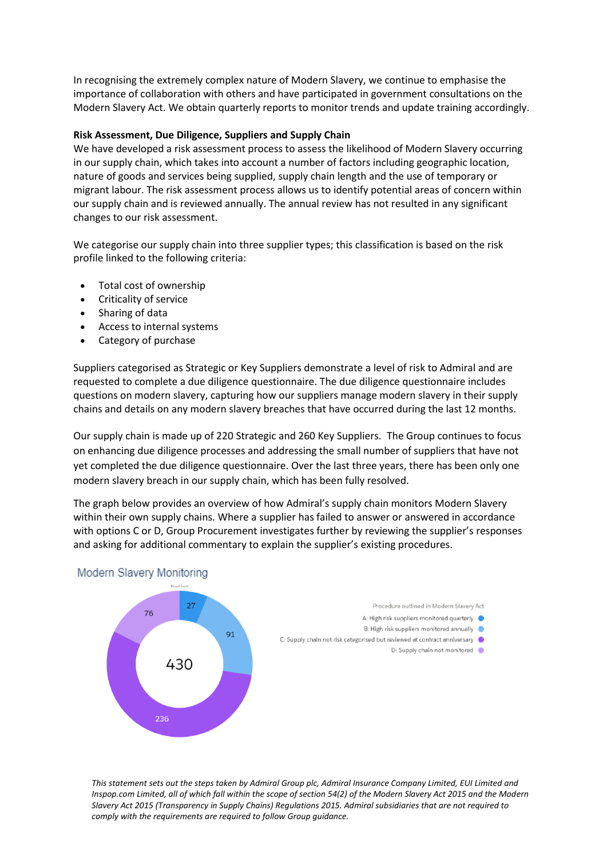In recognising the extremely complex nature of Modern Slavery, we continue to emphasise the importance of collaboration with others and have participated in government consultations on the Modern Slavery Act. We obtain quarterly reports to monitor trends and update training accordingly.

### **Risk Assessment, Due Diligence, Suppliers and Supply Chain**

We have developed a risk assessment process to assess the likelihood of Modern Slavery occurring in our supply chain, which takes into account a number of factors including geographic location, nature of goods and services being supplied, supply chain length and the use of temporary or migrant labour. The risk assessment process allows us to identify potential areas of concern within our supply chain and is reviewed annually. The annual review has not resulted in any significant changes to our risk assessment.

We categorise our supply chain into three supplier types; this classification is based on the risk profile linked to the following criteria:

- Total cost of ownership
- Criticality of service
- Sharing of data
- Access to internal systems
- Category of purchase

Suppliers categorised as Strategic or Key Suppliers demonstrate a level of risk to Admiral and are requested to complete a due diligence questionnaire. The due diligence questionnaire includes questions on modern slavery, capturing how our suppliers manage modern slavery in their supply chains and details on any modern slavery breaches that have occurred during the last 12 months.

Our supply chain is made up of 220 Strategic and 260 Key Suppliers. The Group continues to focus on enhancing due diligence processes and addressing the small number of suppliers that have not yet completed the due diligence questionnaire. Over the last three years, there has been only one modern slavery breach in our supply chain, which has been fully resolved.

The graph below provides an overview of how Admiral's supply chain monitors Modern Slavery within their own supply chains. Where a supplier has failed to answer or answered in accordance with options C or D, Group Procurement investigates further by reviewing the supplier's responses and asking for additional commentary to explain the supplier's existing procedures.



*This statement sets out the steps taken by Admiral Group plc, Admiral Insurance Company Limited, EUI Limited and Inspop.com Limited, all of which fall within the scope of section 54(2) of the Modern Slavery Act 2015 and the Modern Slavery Act 2015 (Transparency in Supply Chains) Regulations 2015. Admiral subsidiaries that are not required to comply with the requirements are required to follow Group guidance.*